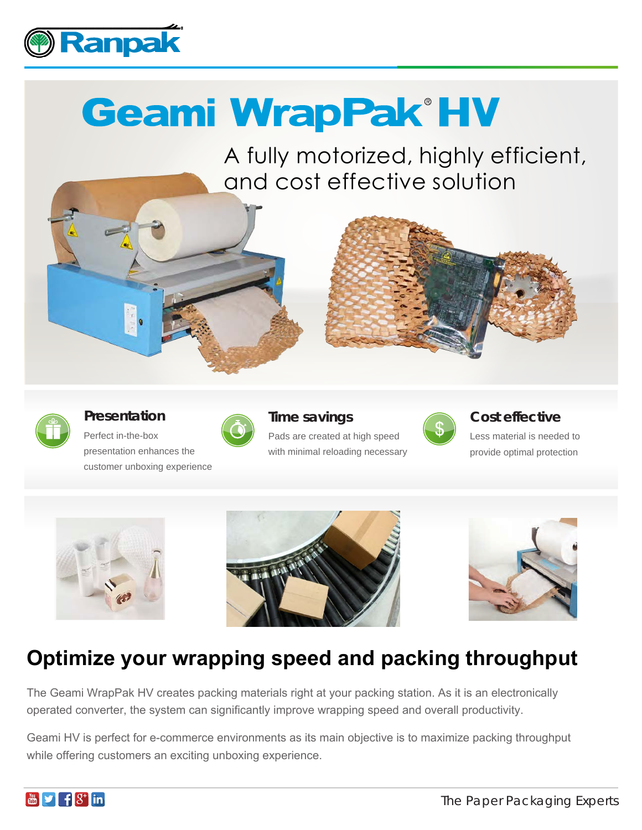

# **Geami WrapPak®HV**

A fully motorized, highly efficient, and cost effective solution





**Presentation**

Perfect in-the-box presentation enhances the customer unboxing experience



# **Time savings** Pads are created at high speed

with minimal reloading necessary



### **Cost effective**

Less material is needed to provide optimal protection







# **Optimize your wrapping speed and packing throughput**

The Geami WrapPak HV creates packing materials right at your packing station. As it is an electronically operated converter, the system can significantly improve wrapping speed and overall productivity.

Geami HV is perfect for e-commerce environments as its main objective is to maximize packing throughput while offering customers an exciting unboxing experience.